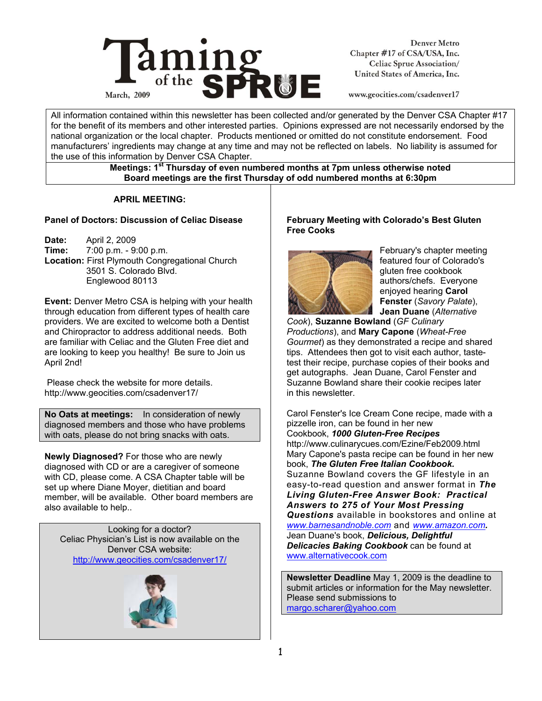

**Denver Metro** Chapter #17 of CSA/USA, Inc. Celiac Sprue Association/ United States of America, Inc.

www.geocities.com/csadenver17

All information contained within this newsletter has been collected and/or generated by the Denver CSA Chapter #17 for the benefit of its members and other interested parties. Opinions expressed are not necessarily endorsed by the national organization or the local chapter. Products mentioned or omitted do not constitute endorsement. Food manufacturers' ingredients may change at any time and may not be reflected on labels. No liability is assumed for the use of this information by Denver CSA Chapter.

#### **Meetings: 1st Thursday of even numbered months at 7pm unless otherwise noted Board meetings are the first Thursday of odd numbered months at 6:30pm**

# **APRIL MEETING:**

#### **Panel of Doctors: Discussion of Celiac Disease**

**Date:** April 2, 2009 **Time:** 7:00 p.m. - 9:00 p.m. **Location:** First Plymouth Congregational Church 3501 S. Colorado Blvd. Englewood 80113

**Event:** Denver Metro CSA is helping with your health through education from different types of health care providers. We are excited to welcome both a Dentist and Chiropractor to address additional needs. Both are familiar with Celiac and the Gluten Free diet and are looking to keep you healthy! Be sure to Join us April 2nd!

 Please check the website for more details. http://www.geocities.com/csadenver17/

**No Oats at meetings:** In consideration of newly diagnosed members and those who have problems with oats, please do not bring snacks with oats.

**Newly Diagnosed?** For those who are newly diagnosed with CD or are a caregiver of someone with CD, please come. A CSA Chapter table will be set up where Diane Moyer, dietitian and board member, will be available. Other board members are also available to help..

Looking for a doctor? Celiac Physician's List is now available on the Denver CSA website: http://www.geocities.com/csadenver17/



#### **February Meeting with Colorado's Best Gluten Free Cooks**



February's chapter meeting featured four of Colorado's gluten free cookbook authors/chefs. Everyone enjoyed hearing **Carol Fenster** (*Savory Palate*), **Jean Duane** (*Alternative* 

*Cook*), **Suzanne Bowland** (*GF Culinary Productions*), and **Mary Capone** (*Wheat-Free Gourmet*) as they demonstrated a recipe and shared tips. Attendees then got to visit each author, tastetest their recipe, purchase copies of their books and get autographs. Jean Duane, Carol Fenster and Suzanne Bowland share their cookie recipes later in this newsletter.

Carol Fenster's Ice Cream Cone recipe, made with a pizzelle iron, can be found in her new Cookbook, *1000 Gluten-Free Recipes* http://www.culinarycues.com/Ezine/Feb2009.html Mary Capone's pasta recipe can be found in her new book, *The Gluten Free Italian Cookbook.*  Suzanne Bowland covers the GF lifestyle in an easy-to-read question and answer format in *The Living Gluten-Free Answer Book: Practical Answers to 275 of Your Most Pressing Questions* available in bookstores and online at *www.barnesandnoble.com* and *www.amazon.com.*  Jean Duane's book, *Delicious, Delightful Delicacies Baking Cookbook* can be found at www.alternativecook.com

**Newsletter Deadline** May 1, 2009 is the deadline to submit articles or information for the May newsletter. Please send submissions to margo.scharer@yahoo.com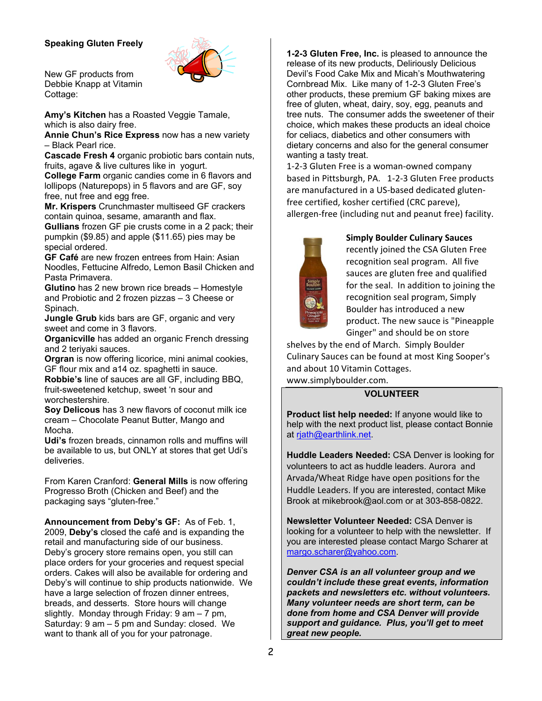# **Speaking Gluten Freely**



New GF products from Debbie Knapp at Vitamin Cottage:

**Amy's Kitchen** has a Roasted Veggie Tamale, which is also dairy free.

**Annie Chun's Rice Express** now has a new variety – Black Pearl rice.

**Cascade Fresh 4** organic probiotic bars contain nuts, fruits, agave & live cultures like in yogurt.

**College Farm** organic candies come in 6 flavors and lollipops (Naturepops) in 5 flavors and are GF, soy free, nut free and egg free.

**Mr. Krispers** Crunchmaster multiseed GF crackers contain quinoa, sesame, amaranth and flax.

**Gullians** frozen GF pie crusts come in a 2 pack; their pumpkin (\$9.85) and apple (\$11.65) pies may be special ordered.

**GF Café** are new frozen entrees from Hain: Asian Noodles, Fettucine Alfredo, Lemon Basil Chicken and Pasta Primavera.

**Glutino** has 2 new brown rice breads – Homestyle and Probiotic and 2 frozen pizzas – 3 Cheese or Spinach.

**Jungle Grub** kids bars are GF, organic and very sweet and come in 3 flavors.

**Organicville** has added an organic French dressing and 2 teriyaki sauces.

**Orgran** is now offering licorice, mini animal cookies, GF flour mix and a14 oz. spaghetti in sauce.

**Robbie's** line of sauces are all GF, including BBQ, fruit-sweetened ketchup, sweet 'n sour and worchestershire.

**Soy Delicous** has 3 new flavors of coconut milk ice cream – Chocolate Peanut Butter, Mango and Mocha.

**Udi's** frozen breads, cinnamon rolls and muffins will be available to us, but ONLY at stores that get Udi's deliveries.

From Karen Cranford: **General Mills** is now offering Progresso Broth (Chicken and Beef) and the packaging says "gluten-free."

**Announcement from Deby's GF:** As of Feb. 1, 2009, **Deby's** closed the café and is expanding the retail and manufacturing side of our business. Deby's grocery store remains open, you still can place orders for your groceries and request special orders. Cakes will also be available for ordering and Deby's will continue to ship products nationwide. We have a large selection of frozen dinner entrees, breads, and desserts. Store hours will change slightly. Monday through Friday: 9 am – 7 pm, Saturday: 9 am – 5 pm and Sunday: closed. We want to thank all of you for your patronage.

**1-2-3 Gluten Free, Inc.** is pleased to announce the release of its new products, Deliriously Delicious Devil's Food Cake Mix and Micah's Mouthwatering Cornbread Mix. Like many of 1-2-3 Gluten Free's other products, these premium GF baking mixes are free of gluten, wheat, dairy, soy, egg, peanuts and tree nuts. The consumer adds the sweetener of their choice, which makes these products an ideal choice for celiacs, diabetics and other consumers with dietary concerns and also for the general consumer wanting a tasty treat.

1‐2‐3 Gluten Free is a woman‐owned company based in Pittsburgh, PA. 1‐2‐3 Gluten Free products are manufactured in a US‐based dedicated gluten‐ free certified, kosher certified (CRC pareve), allergen‐free (including nut and peanut free) facility.



#### **Simply Boulder Culinary Sauces**

recently joined the CSA Gluten Free recognition seal program. All five sauces are gluten free and qualified for the seal. In addition to joining the recognition seal program, Simply Boulder has introduced a new product. The new sauce is "Pineapple Ginger" and should be on store

shelves by the end of March. Simply Boulder Culinary Sauces can be found at most King Sooper's and about 10 Vitamin Cottages.

www.simplyboulder.com.

# **VOLUNTEER**

**Product list help needed:** If anyone would like to help with the next product list, please contact Bonnie at rjath@earthlink.net.

**Huddle Leaders Needed:** CSA Denver is looking for volunteers to act as huddle leaders. Aurora and Arvada/Wheat Ridge have open positions for the Huddle Leaders. If you are interested, contact Mike Brook at mikebrook@aol.com or at 303-858-0822.

**Newsletter Volunteer Needed:** CSA Denver is looking for a volunteer to help with the newsletter. If you are interested please contact Margo Scharer at margo.scharer@yahoo.com.

*Denver CSA is an all volunteer group and we couldn't include these great events, information packets and newsletters etc. without volunteers. Many volunteer needs are short term, can be done from home and CSA Denver will provide support and guidance. Plus, you'll get to meet great new people.*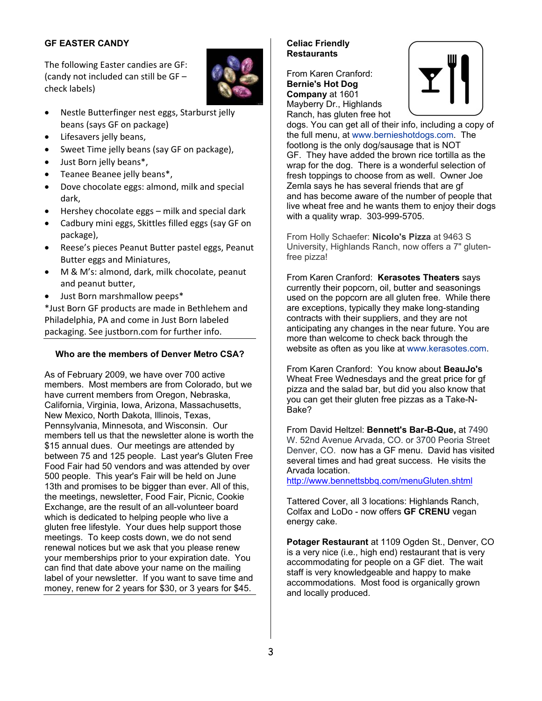# **GF EASTER CANDY**

The following Easter candies are GF: (candy not included can still be GF – check labels)



- Nestle Butterfinger nest eggs, Starburst jelly beans (says GF on package)
- Lifesavers jelly beans,
- Sweet Time jelly beans (say GF on package),
- Just Born jelly beans\*,
- Teanee Beanee jelly beans\*,
- Dove chocolate eggs: almond, milk and special dark,
- Hershey chocolate eggs milk and special dark
- Cadbury mini eggs, Skittles filled eggs (say GF on package),
- Reese's pieces Peanut Butter pastel eggs, Peanut Butter eggs and Miniatures,
- M & M's: almond, dark, milk chocolate, peanut and peanut butter,
- Just Born marshmallow peeps\*

\*Just Born GF products are made in Bethlehem and Philadelphia, PA and come in Just Born labeled packaging. See justborn.com for further info.

# **Who are the members of Denver Metro CSA?**

As of February 2009, we have over 700 active members. Most members are from Colorado, but we have current members from Oregon, Nebraska, California, Virginia, Iowa, Arizona, Massachusetts, New Mexico, North Dakota, Illinois, Texas, Pennsylvania, Minnesota, and Wisconsin. Our members tell us that the newsletter alone is worth the \$15 annual dues. Our meetings are attended by between 75 and 125 people. Last year's Gluten Free Food Fair had 50 vendors and was attended by over 500 people. This year's Fair will be held on June 13th and promises to be bigger than ever. All of this, the meetings, newsletter, Food Fair, Picnic, Cookie Exchange, are the result of an all-volunteer board which is dedicated to helping people who live a gluten free lifestyle. Your dues help support those meetings. To keep costs down, we do not send renewal notices but we ask that you please renew your memberships prior to your expiration date. You can find that date above your name on the mailing label of your newsletter. If you want to save time and money, renew for 2 years for \$30, or 3 years for \$45.

#### **Celiac Friendly Restaurants**

From Karen Cranford: **Bernie's Hot Dog Company** at 1601 Mayberry Dr., Highlands Ranch, has gluten free hot



dogs. You can get all of their info, including a copy of the full menu, at www.bernieshotdogs.com. The footlong is the only dog/sausage that is NOT GF. They have added the brown rice tortilla as the wrap for the dog. There is a wonderful selection of fresh toppings to choose from as well. Owner Joe Zemla says he has several friends that are gf and has become aware of the number of people that live wheat free and he wants them to enjoy their dogs with a quality wrap. 303-999-5705.

From Holly Schaefer: **Nicolo's Pizza** at 9463 S University, Highlands Ranch, now offers a 7" glutenfree pizza!

From Karen Cranford: **Kerasotes Theaters** says currently their popcorn, oil, butter and seasonings used on the popcorn are all gluten free. While there are exceptions, typically they make long-standing contracts with their suppliers, and they are not anticipating any changes in the near future. You are more than welcome to check back through the website as often as you like at www.kerasotes.com.

From Karen Cranford: You know about **BeauJo's** Wheat Free Wednesdays and the great price for gf pizza and the salad bar, but did you also know that you can get their gluten free pizzas as a Take-N-Bake?

From David Heltzel: **Bennett's Bar-B-Que,** at 7490 W. 52nd Avenue Arvada, CO. or 3700 Peoria Street Denver, CO. now has a GF menu. David has visited several times and had great success. He visits the Arvada location.

http://www.bennettsbbq.com/menuGluten.shtml

Tattered Cover, all 3 locations: Highlands Ranch, Colfax and LoDo - now offers **GF CRENU** vegan energy cake.

**Potager Restaurant** at 1109 Ogden St., Denver, CO is a very nice (i.e., high end) restaurant that is very accommodating for people on a GF diet. The wait staff is very knowledgeable and happy to make accommodations. Most food is organically grown and locally produced.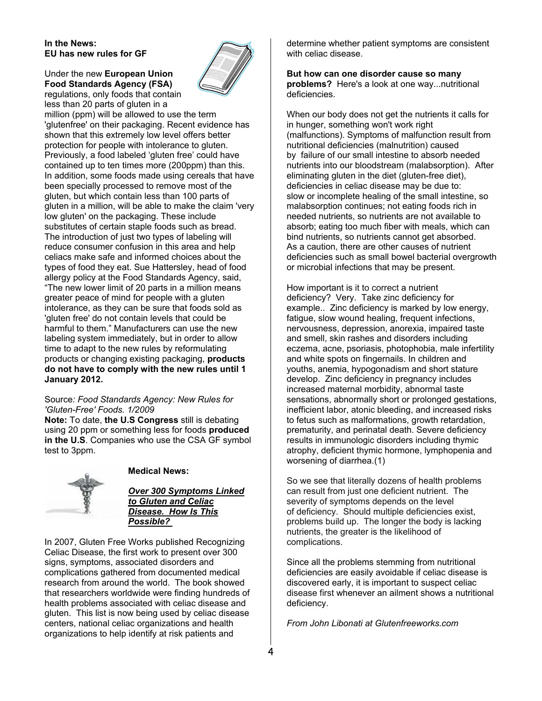#### **In the News: EU has new rules for GF**

#### Under the new **European Union Food Standards Agency (FSA)**  regulations, only foods that contain less than 20 parts of gluten in a



million (ppm) will be allowed to use the term 'glutenfree' on their packaging. Recent evidence has shown that this extremely low level offers better protection for people with intolerance to gluten. Previously, a food labeled 'gluten free' could have contained up to ten times more (200ppm) than this. In addition, some foods made using cereals that have been specially processed to remove most of the gluten, but which contain less than 100 parts of gluten in a million, will be able to make the claim 'very low gluten' on the packaging. These include substitutes of certain staple foods such as bread. The introduction of just two types of labeling will reduce consumer confusion in this area and help celiacs make safe and informed choices about the types of food they eat. Sue Hattersley, head of food allergy policy at the Food Standards Agency, said, "The new lower limit of 20 parts in a million means greater peace of mind for people with a gluten intolerance, as they can be sure that foods sold as 'gluten free' do not contain levels that could be harmful to them." Manufacturers can use the new labeling system immediately, but in order to allow time to adapt to the new rules by reformulating products or changing existing packaging, **products do not have to comply with the new rules until 1 January 2012.** 

#### Source*: Food Standards Agency: New Rules for 'Gluten-Free' Foods. 1/2009*

**Note:** To date, **the U.S Congress** still is debating using 20 ppm or something less for foods **produced in the U.S**. Companies who use the CSA GF symbol test to 3ppm.



#### **Medical News:**

*Over 300 Symptoms Linked to Gluten and Celiac Disease. How Is This Possible?*

In 2007, Gluten Free Works published Recognizing Celiac Disease, the first work to present over 300 signs, symptoms, associated disorders and complications gathered from documented medical research from around the world. The book showed that researchers worldwide were finding hundreds of health problems associated with celiac disease and gluten. This list is now being used by celiac disease centers, national celiac organizations and health organizations to help identify at risk patients and

determine whether patient symptoms are consistent with celiac disease.

**But how can one disorder cause so many problems?** Here's a look at one way...nutritional deficiencies.

When our body does not get the nutrients it calls for in hunger, something won't work right (malfunctions). Symptoms of malfunction result from nutritional deficiencies (malnutrition) caused by failure of our small intestine to absorb needed nutrients into our bloodstream (malabsorption). After eliminating gluten in the diet (gluten-free diet), deficiencies in celiac disease may be due to: slow or incomplete healing of the small intestine, so malabsorption continues; not eating foods rich in needed nutrients, so nutrients are not available to absorb; eating too much fiber with meals, which can bind nutrients, so nutrients cannot get absorbed. As a caution, there are other causes of nutrient deficiencies such as small bowel bacterial overgrowth or microbial infections that may be present.

How important is it to correct a nutrient deficiency? Very. Take zinc deficiency for example.. Zinc deficiency is marked by low energy, fatigue, slow wound healing, frequent infections, nervousness, depression, anorexia, impaired taste and smell, skin rashes and disorders including eczema, acne, psoriasis, photophobia, male infertility and white spots on fingernails. In children and youths, anemia, hypogonadism and short stature develop. Zinc deficiency in pregnancy includes increased maternal morbidity, abnormal taste sensations, abnormally short or prolonged gestations, inefficient labor, atonic bleeding, and increased risks to fetus such as malformations, growth retardation, prematurity, and perinatal death. Severe deficiency results in immunologic disorders including thymic atrophy, deficient thymic hormone, lymphopenia and worsening of diarrhea.(1)

So we see that literally dozens of health problems can result from just one deficient nutrient. The severity of symptoms depends on the level of deficiency. Should multiple deficiencies exist, problems build up. The longer the body is lacking nutrients, the greater is the likelihood of complications.

Since all the problems stemming from nutritional deficiencies are easily avoidable if celiac disease is discovered early, it is important to suspect celiac disease first whenever an ailment shows a nutritional deficiency.

*From John Libonati at Glutenfreeworks.com*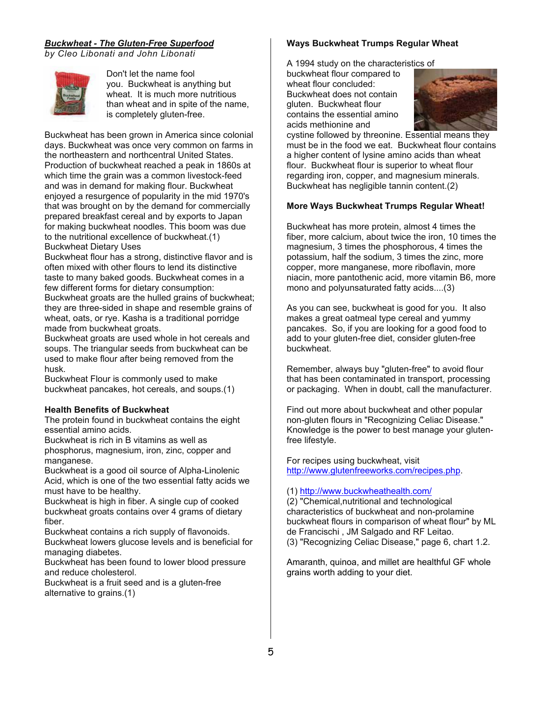# *Buckwheat - The Gluten-Free Superfood*

*by Cleo Libonati and John Libonati*



Don't let the name fool you. Buckwheat is anything but wheat. It is much more nutritious than wheat and in spite of the name, is completely gluten-free.

Buckwheat has been grown in America since colonial days. Buckwheat was once very common on farms in the northeastern and northcentral United States. Production of buckwheat reached a peak in 1860s at which time the grain was a common livestock-feed and was in demand for making flour. Buckwheat enjoyed a resurgence of popularity in the mid 1970's that was brought on by the demand for commercially prepared breakfast cereal and by exports to Japan for making buckwheat noodles. This boom was due to the nutritional excellence of buckwheat.(1) Buckwheat Dietary Uses

Buckwheat flour has a strong, distinctive flavor and is often mixed with other flours to lend its distinctive taste to many baked goods. Buckwheat comes in a few different forms for dietary consumption: Buckwheat groats are the hulled grains of buckwheat; they are three-sided in shape and resemble grains of wheat, oats, or rye. Kasha is a traditional porridge made from buckwheat groats.

Buckwheat groats are used whole in hot cereals and soups. The triangular seeds from buckwheat can be used to make flour after being removed from the husk.

Buckwheat Flour is commonly used to make buckwheat pancakes, hot cereals, and soups.(1)

# **Health Benefits of Buckwheat**

The protein found in buckwheat contains the eight essential amino acids.

Buckwheat is rich in B vitamins as well as phosphorus, magnesium, iron, zinc, copper and manganese.

Buckwheat is a good oil source of Alpha-Linolenic Acid, which is one of the two essential fatty acids we must have to be healthy.

Buckwheat is high in fiber. A single cup of cooked buckwheat groats contains over 4 grams of dietary fiber.

Buckwheat contains a rich supply of flavonoids. Buckwheat lowers glucose levels and is beneficial for managing diabetes.

Buckwheat has been found to lower blood pressure and reduce cholesterol.

Buckwheat is a fruit seed and is a gluten-free alternative to grains.(1)

# **Ways Buckwheat Trumps Regular Wheat**

A 1994 study on the characteristics of

buckwheat flour compared to wheat flour concluded: Buckwheat does not contain gluten. Buckwheat flour contains the essential amino acids methionine and



cystine followed by threonine. Essential means they must be in the food we eat. Buckwheat flour contains a higher content of lysine amino acids than wheat flour. Buckwheat flour is superior to wheat flour regarding iron, copper, and magnesium minerals. Buckwheat has negligible tannin content.(2)

#### **More Ways Buckwheat Trumps Regular Wheat!**

Buckwheat has more protein, almost 4 times the fiber, more calcium, about twice the iron, 10 times the magnesium, 3 times the phosphorous, 4 times the potassium, half the sodium, 3 times the zinc, more copper, more manganese, more riboflavin, more niacin, more pantothenic acid, more vitamin B6, more mono and polyunsaturated fatty acids....(3)

As you can see, buckwheat is good for you. It also makes a great oatmeal type cereal and yummy pancakes. So, if you are looking for a good food to add to your gluten-free diet, consider gluten-free buckwheat.

Remember, always buy "gluten-free" to avoid flour that has been contaminated in transport, processing or packaging. When in doubt, call the manufacturer.

Find out more about buckwheat and other popular non-gluten flours in "Recognizing Celiac Disease." Knowledge is the power to best manage your glutenfree lifestyle.

For recipes using buckwheat, visit http://www.glutenfreeworks.com/recipes.php.

#### (1) http://www.buckwheathealth.com/

(2) "Chemical,nutritional and technological characteristics of buckwheat and non-prolamine buckwheat flours in comparison of wheat flour" by ML de Francischi , JM Salgado and RF Leitao. (3) "Recognizing Celiac Disease," page 6, chart 1.2.

Amaranth, quinoa, and millet are healthful GF whole grains worth adding to your diet.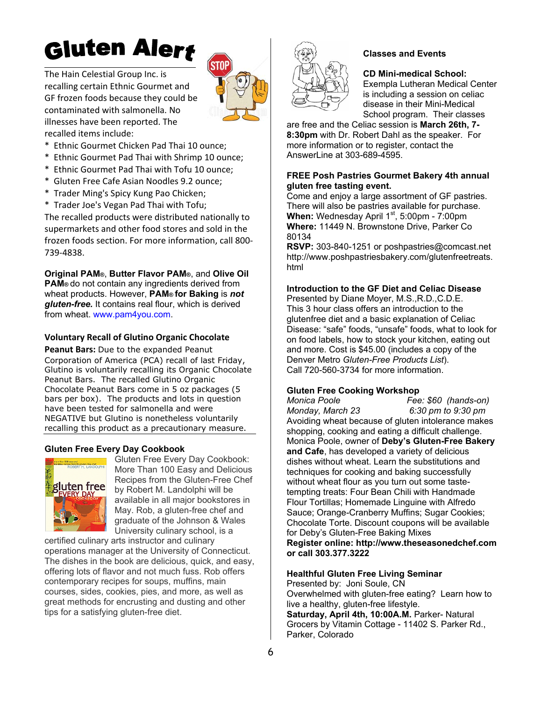# Gluten Alert

The Hain Celestial Group Inc. is recalling certain Ethnic Gourmet and GF frozen foods because they could be contaminated with salmonella. No illnesses have been reported. The recalled items include:



- \* Ethnic Gourmet Chicken Pad Thai 10 ounce;
- \* Ethnic Gourmet Pad Thai with Shrimp 10 ounce;
- \* Ethnic Gourmet Pad Thai with Tofu 10 ounce;
- Gluten Free Cafe Asian Noodles 9.2 ounce:
- \* Trader Ming's Spicy Kung Pao Chicken;
- \* Trader Joe's Vegan Pad Thai with Tofu;

The recalled products were distributed nationally to supermarkets and other food stores and sold in the frozen foods section. For more information, call 800‐ 739‐4838.

**Original PAM®**, **Butter Flavor PAM®**, and **Olive Oil PAM®** do not contain any ingredients derived from wheat products. However, **PAM® for Baking** is *not gluten-free.* It contains real flour, which is derived from wheat. www.pam4you.com.

#### **Voluntary Recall of Glutino Organic Chocolate**

**Peanut Bars:** Due to the expanded Peanut Corporation of America (PCA) recall of last Friday, Glutino is voluntarily recalling its Organic Chocolate Peanut Bars. The recalled Glutino Organic Chocolate Peanut Bars come in 5 oz packages (5 bars per box). The products and lots in question have been tested for salmonella and were NEGATIVE but Glutino is nonetheless voluntarily recalling this product as a precautionary measure.

#### **Gluten Free Every Day Cookbook**



Gluten Free Every Day Cookbook: More Than 100 Easy and Delicious Recipes from the Gluten-Free Chef by Robert M. Landolphi will be available in all major bookstores in May. Rob, a gluten-free chef and graduate of the Johnson & Wales University culinary school, is a

certified culinary arts instructor and culinary operations manager at the University of Connecticut. The dishes in the book are delicious, quick, and easy, offering lots of flavor and not much fuss. Rob offers contemporary recipes for soups, muffins, main courses, sides, cookies, pies, and more, as well as great methods for encrusting and dusting and other tips for a satisfying gluten-free diet.



#### **Classes and Events**

**CD Mini-medical School:** Exempla Lutheran Medical Center

is including a session on celiac disease in their Mini-Medical School program. Their classes

are free and the Celiac session is **March 26th, 7- 8:30pm** with Dr. Robert Dahl as the speaker. For more information or to register, contact the AnswerLine at 303-689-4595.

#### **FREE Posh Pastries Gourmet Bakery 4th annual gluten free tasting event.**

Come and enjoy a large assortment of GF pastries. There will also be pastries available for purchase. **When:** Wednesday April 1<sup>st</sup>, 5:00pm - 7:00pm **Where:** 11449 N. Brownstone Drive, Parker Co 80134

**RSVP:** 303-840-1251 or poshpastries@comcast.net http://www.poshpastriesbakery.com/glutenfreetreats. html

#### **Introduction to the GF Diet and Celiac Disease**

Presented by Diane Moyer, M.S.,R.D.,C.D.E. This 3 hour class offers an introduction to the glutenfree diet and a basic explanation of Celiac Disease: "safe" foods, "unsafe" foods, what to look for on food labels, how to stock your kitchen, eating out and more. Cost is \$45.00 (includes a copy of the Denver Metro *Gluten-Free Products List*). Call 720-560-3734 for more information.

#### **Gluten Free Cooking Workshop**

*Monica Poole Fee: \$60 (hands-on) Monday, March 23 6:30 pm to 9:30 pm*  Avoiding wheat because of gluten intolerance makes shopping, cooking and eating a difficult challenge. Monica Poole, owner of **Deby's Gluten-Free Bakery and Cafe**, has developed a variety of delicious dishes without wheat. Learn the substitutions and techniques for cooking and baking successfully without wheat flour as you turn out some tastetempting treats: Four Bean Chili with Handmade Flour Tortillas; Homemade Linguine with Alfredo Sauce; Orange-Cranberry Muffins; Sugar Cookies; Chocolate Torte. Discount coupons will be available for Deby's Gluten-Free Baking Mixes **Register online: http://www.theseasonedchef.com or call 303.377.3222**

#### **Healthful Gluten Free Living Seminar**

Presented by: Joni Soule, CN Overwhelmed with gluten-free eating? Learn how to live a healthy, gluten-free lifestyle. Saturday, April 4th, 10:00A.M. Parker- Natural Grocers by Vitamin Cottage - 11402 S. Parker Rd., Parker, Colorado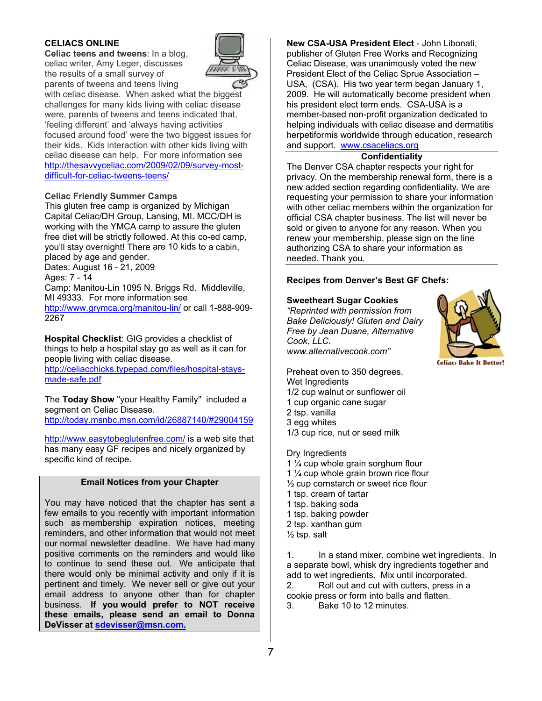# **C ELIACS ONL LINE**

**Celiac teens and tweens:** In a blog, celiac writer, Amy Leger, discusses the results of a small survey of parents of tweens and teens living



with celiac disease. When asked what the biggest challenges for many kids living with celiac disease were, parents of tweens and teens indicated that, 'feeling different' and 'always having activities focused around food' were the two biggest issues for their kids. Kids interaction with other kids living with celiac disease can help. For more information see http://thesavvyceliac.com/2009/02/09/survey-mostdifficult-for-celiac-tweens-teens/

#### **C eliac Friendl ly Summer C Camps**

This gluten free camp is organized by Michigan Capital Celiac/DH Group, Lansing, MI. MCC/DH is working with the YMCA camp to assure the gluten free diet will be strictly followed. At this co-ed camp, you'll stay overnight! There are 10 kids to a cabin, pl laced by age and gender.

D ates: August 16 - 21, 2009 A ges: 7 - 14

Dates: August 16 - 21, 2009<br>Ages: 7 - 14<br>Camp: Manitou-Lin 1095 N. Briggs Rd. Middleville, MI 49333. For more information see

http://www.grymca.org/manitou-lin/ or call 1-888-909-22 267

Hospital Checklist: GIG provides a checklist of things to help a hospital stay go as well as it can for people living with celiac disease.

http://celiacchicks.typepad.com/files/hospital-staysm made-safe.pdf f

The Today Show "your Healthy Family" included a segment on Celiac Disease. http://today.msnbc.msn.com/id/26887140/#29004159

http://www.easytobeglutenfree.com/ is a web site that has many easy GF recipes and nicely organized by specific kind of recipe.

#### **Email Notices from your Chapter**

You may have noticed that the chapter has sent a few emails to you recently with important information such as membership expiration notices, meeting reminders, and other information that would not meet our normal newsletter deadline. We have had many positive comments on the reminders and would like to continue to send these out. We anticipate that there would only be minimal activity and only if it is pertinent and timely. We never sell or give out your email address to anyone other than for chapter bu usiness. **If you would prefer to N NOT receive th hese emails , please se end an ema il to Donna DeVisser at sdevisser@msn.com.** tt angstyeatsrrr

**eaNew** publisher of Gluten Free Works and Recognizing Celiac Disease, was unanimously voted the new President Elect of the Celiac Sprue Association -USA, (CSA). His two year term began January 1, 2009. He will automatically become president when his president elect term ends. CSA-USA is a member-based non-profit organization dedicated to helping individuals with celiac disease and dermatitis herpetiformis worldwide through education, research and support. www.csaceliacs.org **w CSA-USA P President Ele ect** - John Lib onati,

# **Confidenti ality**

The Denver CSA chapter respects your right for privacy. On the membership renewal form, there is a new added section regarding confidentiality. We are requesting your permission to share your information with other celiac members within the organization for offici ial CSA chap ter business. The list will n never be sold or given to anyone for any reason. When you renew your membership, please sign on the line authorizing CSA to share your information as needed. Thank you.

# **Rec ipes from De enver's Best GF Chefs:**

# **Sweetheart Sugar Cookies**

*"Rep printed with pe ermission from Bake e Deliciously! ! Gluten and D mDairy Free by Jean Duane, Alternative Cook k, LLC. www w.alternativeco ook.com"*



Preheat oven to 350 degrees. Wet Ingredients 1/2 cup walnut or sunflower oil 1 cup organic cane sugar 2 tsp p. vanilla 3 eg g whites 1/3 cup rice, nut or seed milk 1/2 cup walnut or sunflower oil<br>1 cup organic cane sugar<br>2 tsp. vanilla<br>3 egg whites<br>1/3 cup rice, nut or seed milk<br>Dry Ingredients<br>1 ¼ cup whole grain sorghum flour

Dry Ingredients

- 
- 1  $\frac{1}{4}$  cup whole grain brown rice flour
- $\frac{1}{2}$  cup cornstarch or sweet rice flour
- 1 tsp. cream of tartar
- 1 tsp p. baking soda 1 tsp. baking soda<br>1 tsp. baking powder
- 
- 2 tsp. xanthan gum
- ½ ts p. salt

1. a separate bowl, whisk dry ingredients together and add to wet ingredients. Mix until incorporated. 2. cookie press or form into balls and flatten. In a stand mixer, combine wet ingredients. In Roll out and cut with cutters, press in a

3. Bake 10 to 12 minutes.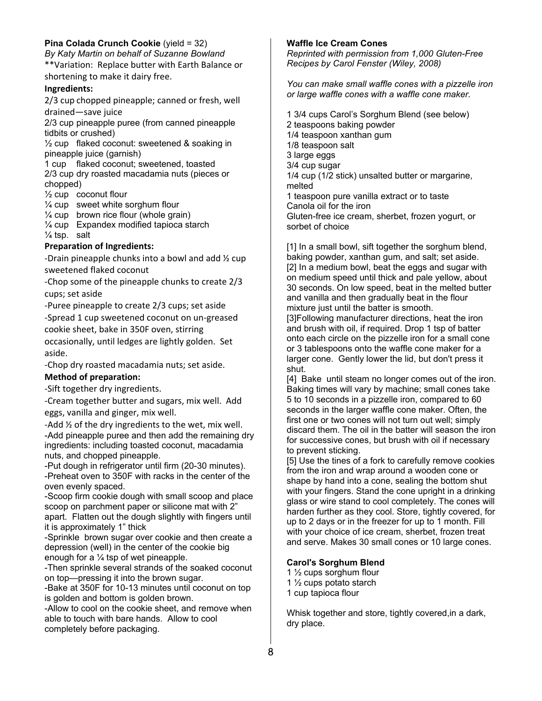# **Pina Colada Crunch Cookie** (yield = 32)

*By Katy Martin on behalf of Suzanne Bowland*  \*\*Variation: Replace butter with Earth Balance or shortening to make it dairy free.

#### **Ingredients:**

2/3 cup chopped pineapple; canned or fresh, well drained—save juice

2/3 cup pineapple puree (from canned pineapple tidbits or crushed)

 $\frac{1}{2}$  cup flaked coconut: sweetened & soaking in pineapple juice (garnish)

1 cup flaked coconut; sweetened, toasted 2/3 cup dry roasted macadamia nuts (pieces or chopped)

½ cup coconut flour

¼ cup sweet white sorghum flour

 $\frac{1}{4}$  cup brown rice flour (whole grain)

¼ cup Expandex modified tapioca starch  $\frac{1}{4}$  tsp. salt

#### **Preparation of Ingredients:**

‐Drain pineapple chunks into a bowl and add ½ cup sweetened flaked coconut

‐Chop some of the pineapple chunks to create 2/3 cups; set aside

‐Puree pineapple to create 2/3 cups; set aside ‐Spread 1 cup sweetened coconut on un‐greased cookie sheet, bake in 350F oven, stirring occasionally, until ledges are lightly golden. Set aside.

‐Chop dry roasted macadamia nuts; set aside.

#### **Method of preparation:**

‐Sift together dry ingredients.

‐Cream together butter and sugars, mix well. Add eggs, vanilla and ginger, mix well.

‐Add ½ of the dry ingredients to the wet, mix well. -Add pineapple puree and then add the remaining dry ingredients: including toasted coconut, macadamia nuts, and chopped pineapple.

-Put dough in refrigerator until firm (20-30 minutes). -Preheat oven to 350F with racks in the center of the oven evenly spaced.

-Scoop firm cookie dough with small scoop and place scoop on parchment paper or silicone mat with 2" apart. Flatten out the dough slightly with fingers until it is approximately 1" thick

-Sprinkle brown sugar over cookie and then create a depression (well) in the center of the cookie big enough for a  $\frac{1}{4}$  tsp of wet pineapple.

-Then sprinkle several strands of the soaked coconut on top—pressing it into the brown sugar.

-Bake at 350F for 10-13 minutes until coconut on top is golden and bottom is golden brown.

-Allow to cool on the cookie sheet, and remove when able to touch with bare hands. Allow to cool completely before packaging.

#### **Waffle Ice Cream Cones**

*Reprinted with permission from 1,000 Gluten-Free Recipes by Carol Fenster (Wiley, 2008)* 

*You can make small waffle cones with a pizzelle iron or large waffle cones with a waffle cone maker.* 

1 3/4 cups Carol's Sorghum Blend (see below) 2 teaspoons baking powder 1/4 teaspoon xanthan gum 1/8 teaspoon salt 3 large eggs 3/4 cup sugar 1/4 cup (1/2 stick) unsalted butter or margarine, melted 1 teaspoon pure vanilla extract or to taste Canola oil for the iron Gluten-free ice cream, sherbet, frozen yogurt, or sorbet of choice

[1] In a small bowl, sift together the sorghum blend, baking powder, xanthan gum, and salt; set aside. [2] In a medium bowl, beat the eggs and sugar with on medium speed until thick and pale yellow, about 30 seconds. On low speed, beat in the melted butter and vanilla and then gradually beat in the flour mixture just until the batter is smooth. [3]Following manufacturer directions, heat the iron and brush with oil, if required. Drop 1 tsp of batter onto each circle on the pizzelle iron for a small cone or 3 tablespoons onto the waffle cone maker for a

larger cone. Gently lower the lid, but don't press it shut. [4] Bake until steam no longer comes out of the iron. Baking times will vary by machine; small cones take 5 to 10 seconds in a pizzelle iron, compared to 60 seconds in the larger waffle cone maker. Often, the first one or two cones will not turn out well; simply discard them. The oil in the batter will season the iron

for successive cones, but brush with oil if necessary to prevent sticking.

[5] Use the tines of a fork to carefully remove cookies from the iron and wrap around a wooden cone or shape by hand into a cone, sealing the bottom shut with your fingers. Stand the cone upright in a drinking glass or wire stand to cool completely. The cones will harden further as they cool. Store, tightly covered, for up to 2 days or in the freezer for up to 1 month. Fill with your choice of ice cream, sherbet, frozen treat and serve. Makes 30 small cones or 10 large cones.

#### **Carol's Sorghum Blend**

1 ½ cups sorghum flour

1 ½ cups potato starch

1 cup tapioca flour

Whisk together and store, tightly covered,in a dark, dry place.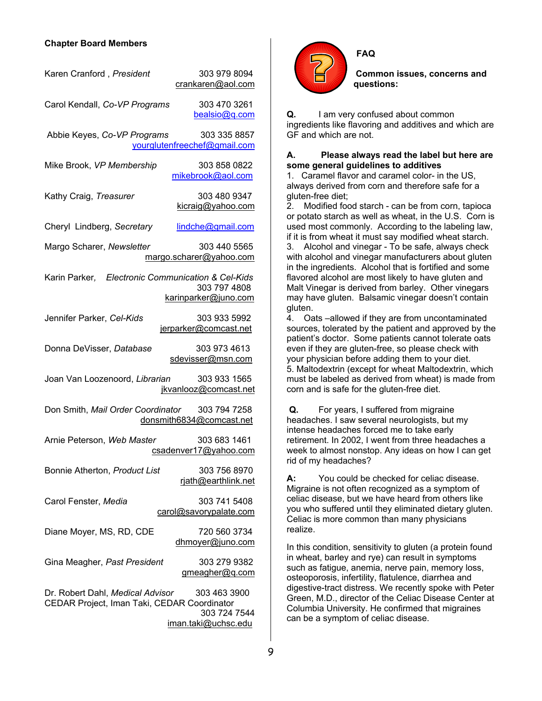#### **Chapter Board Members**

| Karen Cranford, President                                                       | 303 979 8094<br>crankaren@aol.com                   |  |  |  |  |
|---------------------------------------------------------------------------------|-----------------------------------------------------|--|--|--|--|
| Carol Kendall, Co-VP Programs                                                   | 303 470 3261<br>bealsio@q.com                       |  |  |  |  |
| Abbie Keyes, Co-VP Programs                                                     | 303 335 8857<br>yourglutenfreechef@gmail.com        |  |  |  |  |
| Mike Brook, VP Membership                                                       | 303 858 0822<br>mikebrook@aol.com                   |  |  |  |  |
| Kathy Craig, Treasurer                                                          | 303 480 9347<br>kicraig@yahoo.com                   |  |  |  |  |
| Cheryl Lindberg, Secretary                                                      | lindche@gmail.com                                   |  |  |  |  |
| Margo Scharer, Newsletter                                                       | 303 440 5565<br>margo.scharer@yahoo.com             |  |  |  |  |
| Karin Parker, Electronic Communication & Cel-Kids                               | 303 797 4808<br>karinparker@juno.com                |  |  |  |  |
| Jennifer Parker, Cel-Kids                                                       | 303 933 5992<br>jerparker@comcast.net               |  |  |  |  |
| Donna DeVisser, Database                                                        | 303 973 4613<br>sdevisser@msn.com                   |  |  |  |  |
| Joan Van Loozenoord, Librarian                                                  | 303 933 1565<br>jkvanlooz@comcast.net               |  |  |  |  |
| Don Smith, Mail Order Coordinator 303 794 7258<br>donsmith6834@comcast.net      |                                                     |  |  |  |  |
| Arnie Peterson, Web Master                                                      | 303 683 1461<br>csadenver17@yahoo.com               |  |  |  |  |
| Bonnie Atherton, Product List                                                   | 303 756 8970<br>rjath@earthlink.net                 |  |  |  |  |
| Carol Fenster, Media                                                            | 303 741 5408<br>carol@savorypalate.com              |  |  |  |  |
| Diane Moyer, MS, RD, CDE                                                        | 720 560 3734<br>dhmoyer@juno.com                    |  |  |  |  |
| Gina Meagher, Past President                                                    | 303 279 9382<br>gmeagher@q.com                      |  |  |  |  |
| Dr. Robert Dahl, Medical Advisor<br>CEDAR Project, Iman Taki, CEDAR Coordinator | 303 463 3900<br>303 724 7544<br>iman.taki@uchsc.edu |  |  |  |  |



**FAQ**

**Common issues, concerns and questions:** 

**Q.** I am very confused about common ingredients like flavoring and additives and which are GF and which are not.

#### **A. Please always read the label but here are some general guidelines to additives**

1. Caramel flavor and caramel color- in the US, always derived from corn and therefore safe for a gluten-free diet;

2. Modified food starch - can be from corn, tapioca or potato starch as well as wheat, in the U.S. Corn is used most commonly. According to the labeling law, if it is from wheat it must say modified wheat starch. 3. Alcohol and vinegar - To be safe, always check with alcohol and vinegar manufacturers about gluten in the ingredients. Alcohol that is fortified and some flavored alcohol are most likely to have gluten and Malt Vinegar is derived from barley. Other vinegars may have gluten. Balsamic vinegar doesn't contain gluten.

4. Oats –allowed if they are from uncontaminated sources, tolerated by the patient and approved by the patient's doctor. Some patients cannot tolerate oats even if they are gluten-free, so please check with your physician before adding them to your diet. 5. Maltodextrin (except for wheat Maltodextrin, which must be labeled as derived from wheat) is made from corn and is safe for the gluten-free diet.

**Q.** For years, I suffered from migraine headaches. I saw several neurologists, but my intense headaches forced me to take early retirement. In 2002, I went from three headaches a week to almost nonstop. Any ideas on how I can get rid of my headaches?

**A:** You could be checked for celiac disease. Migraine is not often recognized as a symptom of celiac disease, but we have heard from others like you who suffered until they eliminated dietary gluten. Celiac is more common than many physicians realize.

In this condition, sensitivity to gluten (a protein found in wheat, barley and rye) can result in symptoms such as fatigue, anemia, nerve pain, memory loss, osteoporosis, infertility, flatulence, diarrhea and digestive-tract distress. We recently spoke with Peter Green, M.D., director of the Celiac Disease Center at Columbia University. He confirmed that migraines can be a symptom of celiac disease.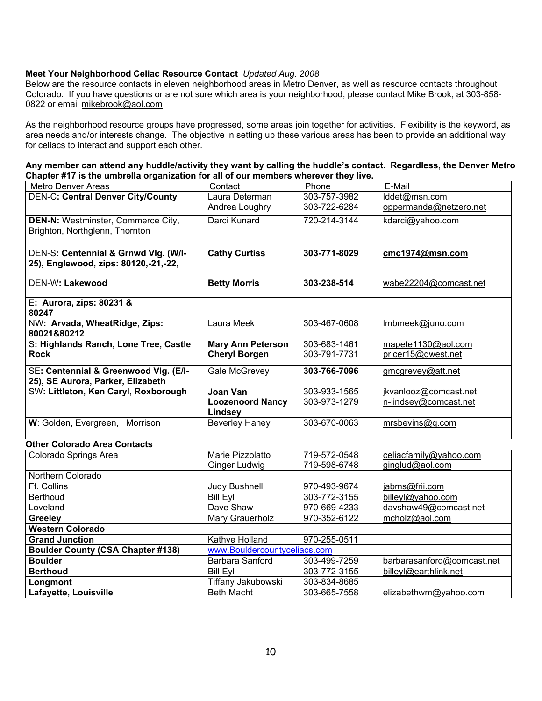#### **Meet Your Neighborhood Celiac Resource Contact** *Updated Aug. 2008*

Below are the resource contacts in eleven neighborhood areas in Metro Denver, as well as resource contacts throughout Colorado. If you have questions or are not sure which area is your neighborhood, please contact Mike Brook, at 303-858- 0822 or email mikebrook@aol.com.

As the neighborhood resource groups have progressed, some areas join together for activities. Flexibility is the keyword, as area needs and/or interests change. The objective in setting up these various areas has been to provide an additional way for celiacs to interact and support each other.

| Any member can attend any huddle/activity they want by calling the huddle's contact. Regardless, the Denver Metro |  |
|-------------------------------------------------------------------------------------------------------------------|--|
| Chapter #17 is the umbrella organization for all of our members wherever they live.                               |  |

| <b>Metro Denver Areas</b>                                                 | Contact                      | Phone        | E-Mail                     |  |  |
|---------------------------------------------------------------------------|------------------------------|--------------|----------------------------|--|--|
| <b>DEN-C: Central Denver City/County</b>                                  | Laura Determan               | 303-757-3982 | lddet@msn.com              |  |  |
|                                                                           | Andrea Loughry               | 303-722-6284 | oppermanda@netzero.net     |  |  |
| <b>DEN-N:</b> Westminster, Commerce City,                                 | Darci Kunard                 | 720-214-3144 | kdarci@yahoo.com           |  |  |
| Brighton, Northglenn, Thornton                                            |                              |              |                            |  |  |
|                                                                           |                              |              |                            |  |  |
| DEN-S: Centennial & Grnwd Vlg. (W/I-                                      | <b>Cathy Curtiss</b>         | 303-771-8029 | cmc1974@msn.com            |  |  |
| 25), Englewood, zips: 80120,-21,-22,                                      |                              |              |                            |  |  |
|                                                                           |                              |              |                            |  |  |
| <b>DEN-W: Lakewood</b>                                                    | <b>Betty Morris</b>          | 303-238-514  | wabe22204@comcast.net      |  |  |
| E: Aurora, zips: 80231 &                                                  |                              |              |                            |  |  |
| 80247                                                                     |                              |              |                            |  |  |
| NW: Arvada, WheatRidge, Zips:                                             | Laura Meek                   | 303-467-0608 | Imbmeek@juno.com           |  |  |
| 80021&80212                                                               |                              |              |                            |  |  |
| S: Highlands Ranch, Lone Tree, Castle                                     | <b>Mary Ann Peterson</b>     | 303-683-1461 | mapete1130@aol.com         |  |  |
| <b>Rock</b>                                                               | <b>Cheryl Borgen</b>         | 303-791-7731 | pricer15@qwest.net         |  |  |
|                                                                           |                              |              |                            |  |  |
| SE: Centennial & Greenwood VIg. (E/I-                                     | Gale McGrevey                | 303-766-7096 | gmcgrevey@att.net          |  |  |
| 25), SE Aurora, Parker, Elizabeth<br>SW: Littleton, Ken Caryl, Roxborough | <b>Joan Van</b>              | 303-933-1565 | jkvanlooz@comcast.net      |  |  |
|                                                                           | <b>Loozenoord Nancy</b>      | 303-973-1279 | n-lindsey@comcast.net      |  |  |
|                                                                           | Lindsey                      |              |                            |  |  |
| W: Golden, Evergreen, Morrison                                            | <b>Beverley Haney</b>        | 303-670-0063 | mrsbevins@q.com            |  |  |
|                                                                           |                              |              |                            |  |  |
| <b>Other Colorado Area Contacts</b>                                       |                              |              |                            |  |  |
| Colorado Springs Area                                                     | Marie Pizzolatto             | 719-572-0548 | celiacfamily@yahoo.com     |  |  |
|                                                                           | <b>Ginger Ludwig</b>         | 719-598-6748 | ginglud@aol.com            |  |  |
| Northern Colorado                                                         |                              |              |                            |  |  |
| Ft. Collins                                                               | <b>Judy Bushnell</b>         | 970-493-9674 | jabms@frii.com             |  |  |
| Berthoud                                                                  | <b>Bill Eyl</b>              | 303-772-3155 | billeyl@yahoo.com          |  |  |
| Loveland                                                                  | Dave Shaw                    | 970-669-4233 | davshaw49@comcast.net      |  |  |
| <b>Greeley</b>                                                            | Mary Grauerholz              | 970-352-6122 | mcholz@aol.com             |  |  |
| <b>Western Colorado</b>                                                   |                              |              |                            |  |  |
| <b>Grand Junction</b>                                                     | Kathye Holland               | 970-255-0511 |                            |  |  |
| <b>Boulder County (CSA Chapter #138)</b>                                  | www.Bouldercountyceliacs.com |              |                            |  |  |
| <b>Boulder</b>                                                            | Barbara Sanford              | 303-499-7259 | barbarasanford@comcast.net |  |  |
| <b>Berthoud</b>                                                           | <b>Bill Eyl</b>              | 303-772-3155 | billeyl@earthlink.net      |  |  |
| Longmont                                                                  | Tiffany Jakubowski           | 303-834-8685 |                            |  |  |
| Lafayette, Louisville                                                     | <b>Beth Macht</b>            | 303-665-7558 | elizabethwm@yahoo.com      |  |  |